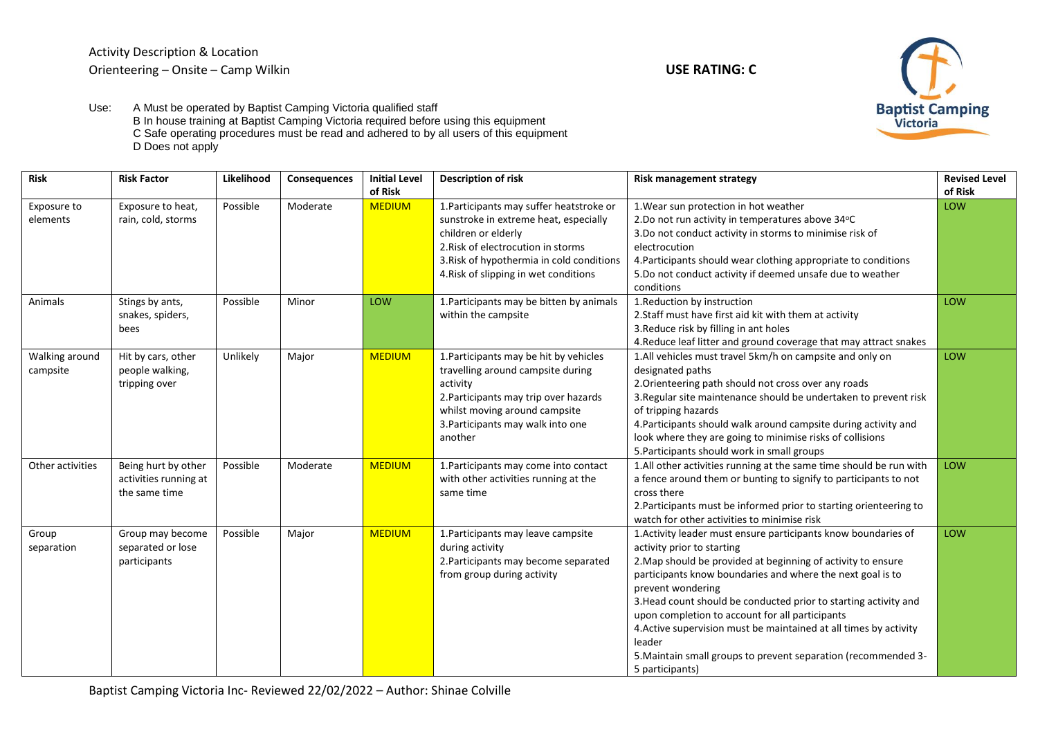

Use: A Must be operated by Baptist Camping Victoria qualified staff B In house training at Baptist Camping Victoria required before using this equipment C Safe operating procedures must be read and adhered to by all users of this equipment D Does not apply

| <b>Risk</b>                | <b>Risk Factor</b>                                            | Likelihood | Consequences | <b>Initial Level</b><br>of Risk | <b>Description of risk</b>                                                                                                                                                                                                           | <b>Risk management strategy</b>                                                                                                                                                                                                                                                                                                                                                                                                                                                                                                            | <b>Revised Level</b><br>of Risk |
|----------------------------|---------------------------------------------------------------|------------|--------------|---------------------------------|--------------------------------------------------------------------------------------------------------------------------------------------------------------------------------------------------------------------------------------|--------------------------------------------------------------------------------------------------------------------------------------------------------------------------------------------------------------------------------------------------------------------------------------------------------------------------------------------------------------------------------------------------------------------------------------------------------------------------------------------------------------------------------------------|---------------------------------|
| Exposure to<br>elements    | Exposure to heat,<br>rain, cold, storms                       | Possible   | Moderate     | <b>MEDIUM</b>                   | 1. Participants may suffer heatstroke or<br>sunstroke in extreme heat, especially<br>children or elderly<br>2. Risk of electrocution in storms<br>3. Risk of hypothermia in cold conditions<br>4. Risk of slipping in wet conditions | 1. Wear sun protection in hot weather<br>2.Do not run activity in temperatures above 34°C<br>3.Do not conduct activity in storms to minimise risk of<br>electrocution<br>4. Participants should wear clothing appropriate to conditions<br>5.Do not conduct activity if deemed unsafe due to weather<br>conditions                                                                                                                                                                                                                         | LOW                             |
| Animals                    | Stings by ants,<br>snakes, spiders,<br>bees                   | Possible   | Minor        | LOW                             | 1. Participants may be bitten by animals<br>within the campsite                                                                                                                                                                      | 1. Reduction by instruction<br>2. Staff must have first aid kit with them at activity<br>3. Reduce risk by filling in ant holes<br>4. Reduce leaf litter and ground coverage that may attract snakes                                                                                                                                                                                                                                                                                                                                       | LOW                             |
| Walking around<br>campsite | Hit by cars, other<br>people walking,<br>tripping over        | Unlikely   | Major        | <b>MEDIUM</b>                   | 1. Participants may be hit by vehicles<br>travelling around campsite during<br>activity<br>2. Participants may trip over hazards<br>whilst moving around campsite<br>3. Participants may walk into one<br>another                    | 1.All vehicles must travel 5km/h on campsite and only on<br>designated paths<br>2. Orienteering path should not cross over any roads<br>3. Regular site maintenance should be undertaken to prevent risk<br>of tripping hazards<br>4. Participants should walk around campsite during activity and<br>look where they are going to minimise risks of collisions<br>5. Participants should work in small groups                                                                                                                             | LOW                             |
| Other activities           | Being hurt by other<br>activities running at<br>the same time | Possible   | Moderate     | <b>MEDIUM</b>                   | 1. Participants may come into contact<br>with other activities running at the<br>same time                                                                                                                                           | 1.All other activities running at the same time should be run with<br>a fence around them or bunting to signify to participants to not<br>cross there<br>2. Participants must be informed prior to starting orienteering to<br>watch for other activities to minimise risk                                                                                                                                                                                                                                                                 | LOW                             |
| Group<br>separation        | Group may become<br>separated or lose<br>participants         | Possible   | Major        | <b>MEDIUM</b>                   | 1. Participants may leave campsite<br>during activity<br>2. Participants may become separated<br>from group during activity                                                                                                          | 1. Activity leader must ensure participants know boundaries of<br>activity prior to starting<br>2. Map should be provided at beginning of activity to ensure<br>participants know boundaries and where the next goal is to<br>prevent wondering<br>3. Head count should be conducted prior to starting activity and<br>upon completion to account for all participants<br>4. Active supervision must be maintained at all times by activity<br>leader<br>5. Maintain small groups to prevent separation (recommended 3-<br>5 participants) | LOW                             |